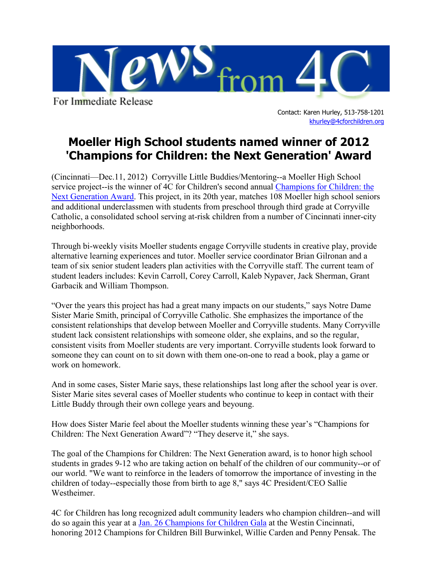

For Immediate Release

Contact: Karen Hurley, 513-758-1201 [khurley@4cforchildren.org](mailto:lkruse@4cforchildren.org)

## **Moeller High School students named winner of 2012 'Champions for Children: the Next Generation' Award**

(Cincinnati—Dec.11, 2012) Corryville Little Buddies/Mentoring--a Moeller High School service project--is the winner of 4C for Children's second annual [Champions for Children: the](http://4cforchildren.org/champions/Youth_Award.html)  [Next Generation Award.](http://4cforchildren.org/champions/Youth_Award.html) This project, in its 20th year, matches 108 Moeller high school seniors and additional underclassmen with students from preschool through third grade at Corryville Catholic, a consolidated school serving at-risk children from a number of Cincinnati inner-city neighborhoods.

Through bi-weekly visits Moeller students engage Corryville students in creative play, provide alternative learning experiences and tutor. Moeller service coordinator Brian Gilronan and a team of six senior student leaders plan activities with the Corryville staff. The current team of student leaders includes: Kevin Carroll, Corey Carroll, Kaleb Nypaver, Jack Sherman, Grant Garbacik and William Thompson.

"Over the years this project has had a great many impacts on our students," says Notre Dame Sister Marie Smith, principal of Corryville Catholic. She emphasizes the importance of the consistent relationships that develop between Moeller and Corryville students. Many Corryville student lack consistent relationships with someone older, she explains, and so the regular, consistent visits from Moeller students are very important. Corryville students look forward to someone they can count on to sit down with them one-on-one to read a book, play a game or work on homework.

And in some cases, Sister Marie says, these relationships last long after the school year is over. Sister Marie sites several cases of Moeller students who continue to keep in contact with their Little Buddy through their own college years and beyoung.

How does Sister Marie feel about the Moeller students winning these year's "Champions for Children: The Next Generation Award"? "They deserve it," she says.

The goal of the Champions for Children: The Next Generation award, is to honor high school students in grades 9-12 who are taking action on behalf of the children of our community--or of our world. "We want to reinforce in the leaders of tomorrow the importance of investing in the children of today--especially those from birth to age 8," says 4C President/CEO Sallie Westheimer.

4C for Children has long recognized adult community leaders who champion children--and will do so again this year at a Jan. 26 [Champions for Children Gala](http://4cforchildren.org/champions/index.html) at the Westin Cincinnati, honoring 2012 Champions for Children Bill Burwinkel, Willie Carden and Penny Pensak. The